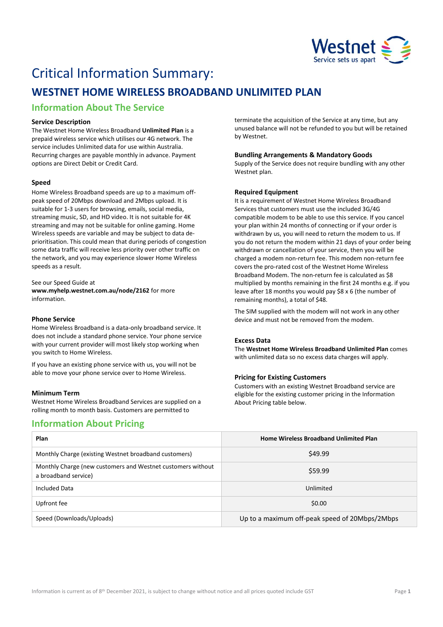

# Critical Information Summary:

## **WESTNET HOME WIRELESS BROADBAND UNLIMITED PLAN**

## **Information About The Service**

#### **Service Description**

The Westnet Home Wireless Broadband **Unlimited Plan** is a prepaid wireless service which utilises our 4G network. The service includes Unlimited data for use within Australia. Recurring charges are payable monthly in advance. Payment options are Direct Debit or Credit Card.

#### **Speed**

Home Wireless Broadband speeds are up to a maximum offpeak speed of 20Mbps download and 2Mbps upload. It is suitable for 1-3 users for browsing, emails, social media, streaming music, SD, and HD video. It is not suitable for 4K streaming and may not be suitable for online gaming. Home Wireless speeds are variable and may be subject to data deprioritisation. This could mean that during periods of congestion some data traffic will receive less priority over other traffic on the network, and you may experience slower Home Wireless speeds as a result.

See our Speed Guide at **[www.myhelp.westnet.com.au/node/2162](http://www.myhelp.westnet.com.au/node/2162)** for more information.

#### **Phone Service**

Home Wireless Broadband is a data-only broadband service. It does not include a standard phone service. Your phone service with your current provider will most likely stop working when you switch to Home Wireless.

If you have an existing phone service with us, you will not be able to move your phone service over to Home Wireless.

#### **Minimum Term**

Westnet Home Wireless Broadband Services are supplied on a rolling month to month basis. Customers are permitted to

### **Information About Pricing**

terminate the acquisition of the Service at any time, but any unused balance will not be refunded to you but will be retained by Westnet.

#### **Bundling Arrangements & Mandatory Goods**

Supply of the Service does not require bundling with any other Westnet plan.

#### **Required Equipment**

It is a requirement of Westnet Home Wireless Broadband Services that customers must use the included 3G/4G compatible modem to be able to use this service. If you cancel your plan within 24 months of connecting or if your order is withdrawn by us, you will need to return the modem to us. If you do not return the modem within 21 days of your order being withdrawn or cancellation of your service, then you will be charged a modem non-return fee. This modem non-return fee covers the pro-rated cost of the Westnet Home Wireless Broadband Modem. The non-return fee is calculated as \$8 multiplied by months remaining in the first 24 months e.g. if you leave after 18 months you would pay \$8 x 6 (the number of remaining months), a total of \$48.

The SIM supplied with the modem will not work in any other device and must not be removed from the modem.

#### **Excess Data**

The **Westnet Home Wireless Broadband Unlimited Plan** comes with unlimited data so no excess data charges will apply.

#### **Pricing for Existing Customers**

Customers with an existing Westnet Broadband service are eligible for the existing customer pricing in the Information About Pricing table below.

| Plan                                                                                | <b>Home Wireless Broadband Unlimited Plan</b>  |
|-------------------------------------------------------------------------------------|------------------------------------------------|
| Monthly Charge (existing Westnet broadband customers)                               | \$49.99                                        |
| Monthly Charge (new customers and Westnet customers without<br>a broadband service) | \$59.99                                        |
| Included Data                                                                       | Unlimited                                      |
| Upfront fee                                                                         | \$0.00                                         |
| Speed (Downloads/Uploads)                                                           | Up to a maximum off-peak speed of 20Mbps/2Mbps |